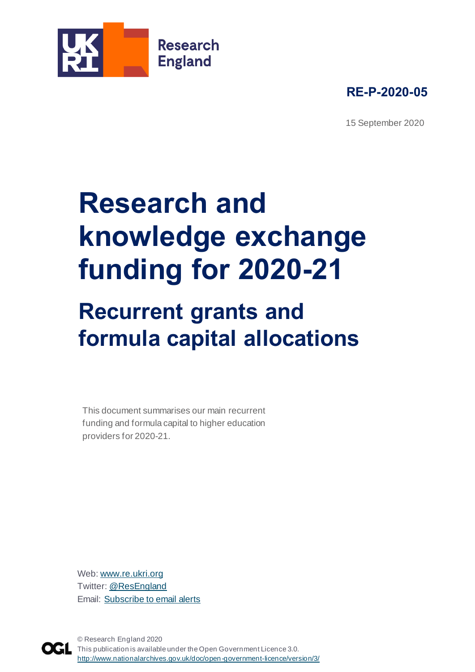



15 September 2020

# **Research and knowledge exchange funding for 2020-21**

# **Recurrent grants and formula capital allocations**

This document summarises our main recurrent funding and formula capital to higher education providers for 2020-21.

Web: [www.re.ukri.org](http://www.re.ukri.org/) Twitter[: @ResEngland](https://twitter.com/ResEngland) Email: [Subscribe to email alerts](https://www.jiscmail.ac.uk/cgi-bin/webadmin?SUBED1=RESEARCH-ENGLAND-NEWS&A=1)



© Research England 2020 This publication is available under the Open Government Licence 3.0. http://www.nationalarchives.gov.uk/doc/open-government-licence/version/3/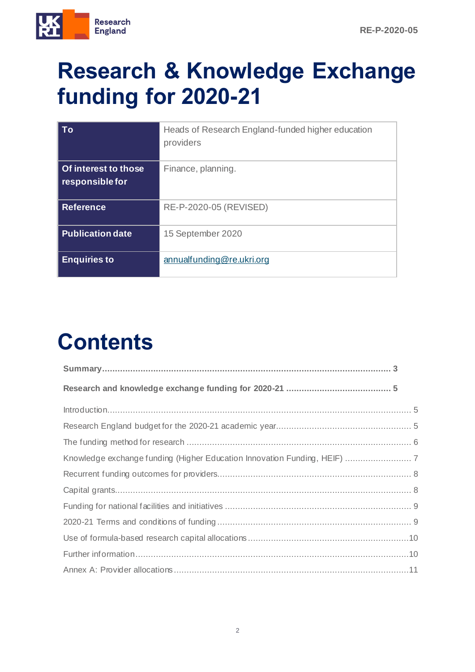

### **Research & Knowledge Exchange funding for 2020-21**

| To                                      | Heads of Research England-funded higher education<br>providers |
|-----------------------------------------|----------------------------------------------------------------|
| Of interest to those<br>responsible for | Finance, planning.                                             |
| <b>Reference</b>                        | RE-P-2020-05 (REVISED)                                         |
| <b>Publication date</b>                 | 15 September 2020                                              |
| <b>Enquiries to</b>                     | annualfunding@re.ukri.org                                      |

# **Contents**

| $Introduction$ 5                                                          |  |
|---------------------------------------------------------------------------|--|
|                                                                           |  |
|                                                                           |  |
| Knowledge exchange funding (Higher Education Innovation Funding, HEIF)  7 |  |
|                                                                           |  |
|                                                                           |  |
|                                                                           |  |
|                                                                           |  |
|                                                                           |  |
|                                                                           |  |
|                                                                           |  |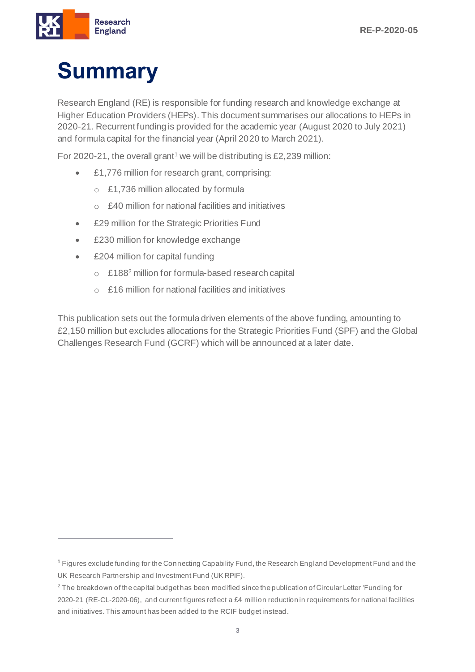

# <span id="page-2-0"></span>**Summary**

Research England (RE) is responsible for funding research and knowledge exchange at Higher Education Providers (HEPs). This document summarises our allocations to HEPs in 2020-21. Recurrent funding is provided for the academic year (August 2020 to July 2021) and formula capital for the financial year (April 2020 to March 2021).

For 2020-21, the overall grant<sup>1</sup> we will be distributing is £2,239 million:

- £1,776 million for research grant, comprising:
	- o £1,736 million allocated by formula
	- o £40 million for national facilities and initiatives
- £29 million for the Strategic Priorities Fund
- £230 million for knowledge exchange
- £204 million for capital funding
	- o £188<sup>2</sup> million for formula-based research capital
	- $\circ$  £16 million for national facilities and initiatives

This publication sets out the formula driven elements of the above funding, amounting to £2,150 million but excludes allocations for the Strategic Priorities Fund (SPF) and the Global Challenges Research Fund (GCRF) which will be announced at a later date.

<sup>1</sup> Figures exclude funding for the Connecting Capability Fund, the Research England Development Fund and the UK Research Partnership and Investment Fund (UK RPIF).

<sup>&</sup>lt;sup>2</sup> The breakdown of the capital budget has been modified since the publication of Circular Letter 'Funding for 2020-21 (RE-CL-2020-06), and current figures reflect a £4 million reduction in requirements for national facilities and initiatives. This amount has been added to the RCIF budget instead.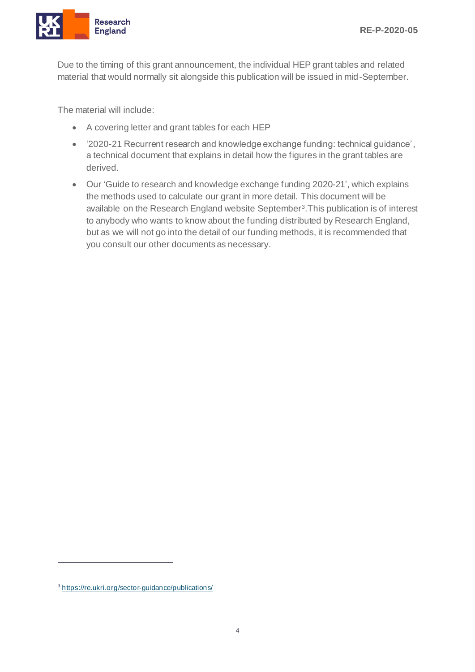

Due to the timing of this grant announcement, the individual HEP grant tables and related material that would normally sit alongside this publication will be issued in mid-September.

The material will include:

- A covering letter and grant tables for each HEP
- '2020-21 Recurrent research and knowledge exchange funding: technical guidance', a technical document that explains in detail how the figures in the grant tables are derived.
- Our 'Guide to research and knowledge exchange funding 2020-21', which explains the methods used to calculate our grant in more detail. This document will be available on the Research England website September<sup>3</sup>. This publication is of interest to anybody who wants to know about the funding distributed by Research England, but as we will not go into the detail of our funding methods, it is recommended that you consult our other documents as necessary.

<sup>3</sup> <https://re.ukri.org/sector-guidance/publications/>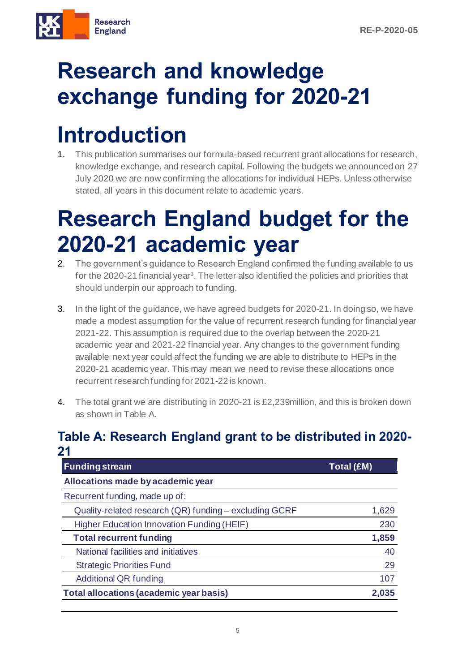

# <span id="page-4-0"></span>**Research and knowledge exchange funding for 2020-21**

### <span id="page-4-1"></span>**Introduction**

1. This publication summarises our formula-based recurrent grant allocations for research, knowledge exchange, and research capital. Following the budgets we announced on 27 July 2020 we are now confirming the allocations for individual HEPs. Unless otherwise stated, all years in this document relate to academic years.

#### <span id="page-4-2"></span>**Research England budget for the 2020-21 academic year**

- 2. The government's guidance to Research England confirmed the funding available to us for the 2020-21 financial year<sup>3</sup>. The letter also identified the policies and priorities that should underpin our approach to funding.
- 3. In the light of the guidance, we have agreed budgets for 2020-21. In doing so, we have made a modest assumption for the value of recurrent research funding for financial year 2021-22. This assumption is required due to the overlap between the 2020-21 academic year and 2021-22 financial year. Any changes to the government funding available next year could affect the funding we are able to distribute to HEPs in the 2020-21 academic year. This may mean we need to revise these allocations once recurrent research funding for 2021-22 is known.
- 4. The total grant we are distributing in 2020-21 is £2,239million, and this is broken down as shown in Table A.

#### **Table A: Research England grant to be distributed in 2020- 21**

| <b>Funding stream</b>                                  | Total (£M) |  |
|--------------------------------------------------------|------------|--|
| Allocations made by academic year                      |            |  |
| Recurrent funding, made up of:                         |            |  |
| Quality-related research (QR) funding - excluding GCRF | 1,629      |  |
| <b>Higher Education Innovation Funding (HEIF)</b>      | 230        |  |
| <b>Total recurrent funding</b>                         | 1,859      |  |
| National facilities and initiatives                    | 40         |  |
| <b>Strategic Priorities Fund</b>                       | 29         |  |
| <b>Additional QR funding</b>                           | 107        |  |
| Total allocations (academic year basis)                | 2,035      |  |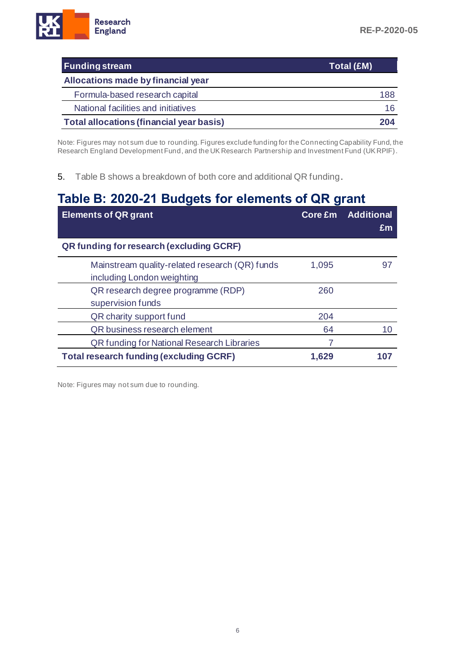| <b>Funding stream</b>                           | Total (£M) |
|-------------------------------------------------|------------|
| Allocations made by financial year              |            |
| Formula-based research capital                  | 188        |
| National facilities and initiatives             | 16         |
| <b>Total allocations (financial year basis)</b> | 204        |

Note: Figures may not sum due to rounding. Figures exclude funding for the Connecting Capability Fund, the Research England Development Fund, and the UK Research Partnership and Investment Fund (UK RPIF).

5. Table B shows a breakdown of both core and additional QR funding.

#### **Table B: 2020-21 Budgets for elements of QR grant**

| <b>Elements of QR grant</b>                                                  |       | Core £m Additional<br>Em |
|------------------------------------------------------------------------------|-------|--------------------------|
| QR funding for research (excluding GCRF)                                     |       |                          |
| Mainstream quality-related research (QR) funds<br>including London weighting | 1,095 | 97                       |
| QR research degree programme (RDP)<br>supervision funds                      | 260   |                          |
| QR charity support fund                                                      | 204   |                          |
| QR business research element                                                 | 64    | 10                       |
| <b>QR funding for National Research Libraries</b>                            |       |                          |
| <b>Total research funding (excluding GCRF)</b>                               | 1,629 |                          |

<span id="page-5-0"></span>Note: Figures may not sum due to rounding.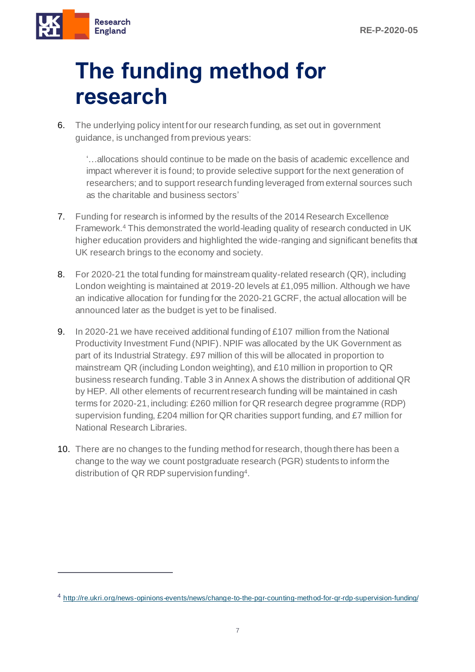

# **The funding method for research**

6. The underlying policy intent for our research funding, as set out in government guidance, is unchanged from previous years:

'…allocations should continue to be made on the basis of academic excellence and impact wherever it is found; to provide selective support for the next generation of researchers; and to support research funding leveraged from external sources such as the charitable and business sectors'

- 7. Funding for research is informed by the results of the 2014 Research Excellence Framework.<sup>4</sup> This demonstrated the world-leading quality of research conducted in UK higher education providers and highlighted the wide-ranging and significant benefits that UK research brings to the economy and society.
- 8. For 2020-21 the total funding for mainstream quality-related research (QR), including London weighting is maintained at 2019-20 levels at £1,095 million. Although we have an indicative allocation for funding for the 2020-21 GCRF, the actual allocation will be announced later as the budget is yet to be finalised.
- 9. In 2020-21 we have received additional funding of £107 million from the National Productivity Investment Fund (NPIF). NPIF was allocated by the UK Government as part of its Industrial Strategy. £97 million of this will be allocated in proportion to mainstream QR (including London weighting), and £10 million in proportion to QR business research funding.Table 3 in Annex A shows the distribution of additional QR by HEP. All other elements of recurrent research funding will be maintained in cash terms for 2020-21, including: £260 million for QR research degree programme (RDP) supervision funding, £204 million for QR charities support funding, and £7 million for National Research Libraries.
- 10. There are no changes to the funding method for research, though there has been a change to the way we count postgraduate research (PGR) students to inform the distribution of QR RDP supervision funding<sup>4</sup> .

<sup>4</sup> <http://re.ukri.org/news-opinions-events/news/change-to-the-pgr-counting-method-for-qr-rdp-supervision-funding/>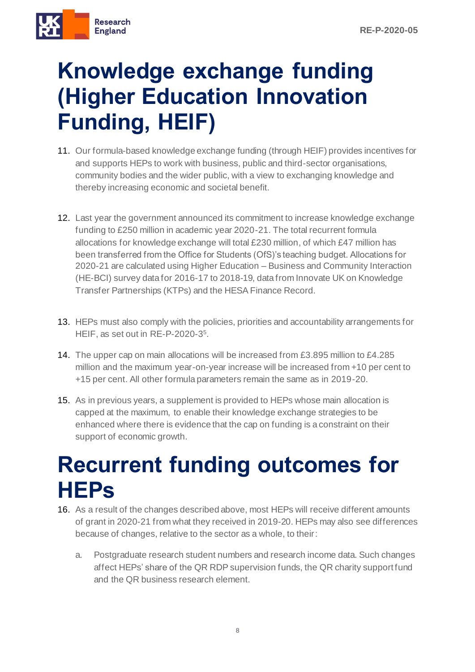

### <span id="page-7-0"></span>**Knowledge exchange funding (Higher Education Innovation Funding, HEIF)**

- 11. Our formula-based knowledge exchange funding (through HEIF) provides incentives for and supports HEPs to work with business, public and third-sector organisations, community bodies and the wider public, with a view to exchanging knowledge and thereby increasing economic and societal benefit.
- 12. Last year the government announced its commitment to increase knowledge exchange funding to £250 million in academic year 2020-21. The total recurrent formula allocations for knowledge exchange will total £230 million, of which £47 million has been transferred from the Office for Students (OfS)'s teaching budget. Allocations for 2020-21 are calculated using Higher Education – Business and Community Interaction (HE-BCI) survey data for 2016-17 to 2018-19, data from Innovate UK on Knowledge Transfer Partnerships (KTPs) and the HESA Finance Record.
- 13. HEPs must also comply with the policies, priorities and accountability arrangements for HEIF, as set out in RE-P-2020-3 5 .
- 14. The upper cap on main allocations will be increased from £3.895 million to £4.285 million and the maximum year-on-year increase will be increased from +10 per cent to +15 per cent. All other formula parameters remain the same as in 2019-20.
- 15. As in previous years, a supplement is provided to HEPs whose main allocation is capped at the maximum, to enable their knowledge exchange strategies to be enhanced where there is evidence that the cap on funding is a constraint on their support of economic growth.

#### <span id="page-7-1"></span>**Recurrent funding outcomes for HEPs**

- 16. As a result of the changes described above, most HEPs will receive different amounts of grant in 2020-21 from what they received in 2019-20. HEPs may also see differences because of changes, relative to the sector as a whole, to their:
	- a. Postgraduate research student numbers and research income data. Such changes affect HEPs' share of the QR RDP supervision funds, the QR charity support fund and the QR business research element.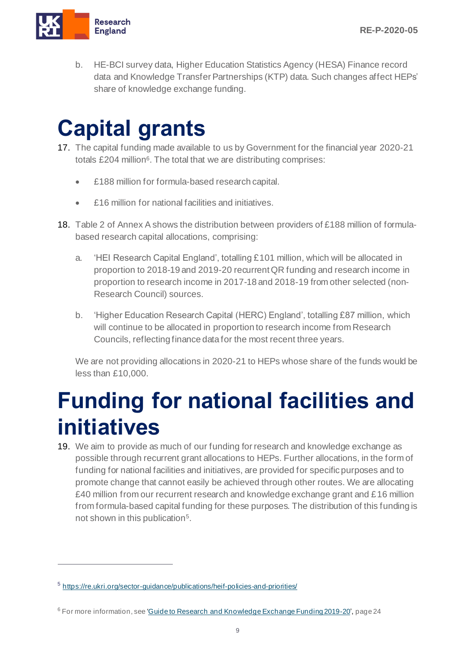

b. HE-BCI survey data, Higher Education Statistics Agency (HESA) Finance record data and Knowledge Transfer Partnerships (KTP) data. Such changes affect HEPs' share of knowledge exchange funding.

# <span id="page-8-0"></span>**Capital grants**

- 17. The capital funding made available to us by Government for the financial year 2020-21 totals £204 million<sup>6</sup>. The total that we are distributing comprises:
	- £188 million for formula-based research capital.
	- **£16 million for national facilities and initiatives**
- 18. Table 2 of Annex A shows the distribution between providers of £188 million of formulabased research capital allocations, comprising:
	- a. 'HEI Research Capital England', totalling £101 million, which will be allocated in proportion to 2018-19 and 2019-20 recurrent QR funding and research income in proportion to research income in 2017-18 and 2018-19 from other selected (non-Research Council) sources.
	- b. 'Higher Education Research Capital (HERC) England', totalling £87 million, which will continue to be allocated in proportion to research income from Research Councils, reflecting finance data for the most recent three years.

We are not providing allocations in 2020-21 to HEPs whose share of the funds would be less than £10,000.

#### <span id="page-8-1"></span>**Funding for national facilities and initiatives**

19. We aim to provide as much of our funding for research and knowledge exchange as possible through recurrent grant allocations to HEPs. Further allocations, in the form of funding for national facilities and initiatives, are provided for specific purposes and to promote change that cannot easily be achieved through other routes. We are allocating £40 million from our recurrent research and knowledge exchange grant and  $£16$  million from formula-based capital funding for these purposes. The distribution of this funding is not shown in this publication<sup>5</sup>.

<sup>&</sup>lt;sup>5</sup> <https://re.ukri.org/sector-guidance/publications/heif-policies-and-priorities/>

<sup>6</sup> For more information, see ['Guide to Research and Knowledge Exchange Funding 2019-20'](https://re.ukri.org/news-events-publications/publications/guide-to-research-and-knowledge-exchange-funding-2019-20/), page 24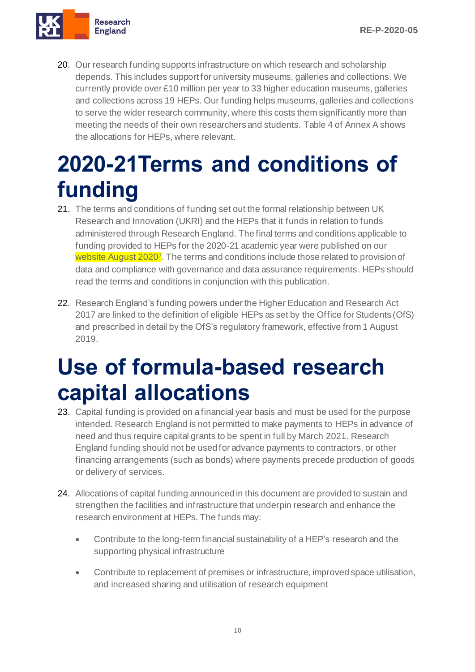

<span id="page-9-0"></span>20. Our research funding supports infrastructure on which research and scholarship depends. This includes support for university museums, galleries and collections. We currently provide over £10 million per year to 33 higher education museums, galleries and collections across 19 HEPs. Our funding helps museums, galleries and collections to serve the wider research community, where this costs them significantly more than meeting the needs of their own researchers and students. Table 4 of Annex A shows the allocations for HEPs, where relevant.

#### **2020-21Terms and conditions of funding**

- 21. The terms and conditions of funding set out the formal relationship between UK Research and Innovation (UKRI) and the HEPs that it funds in relation to funds administered through Research England. The final terms and conditions applicable to funding provided to HEPs for the 2020-21 academic year were published on our website August 2020<sup>7</sup>. The terms and conditions include those related to provision of data and compliance with governance and data assurance requirements. HEPs should read the terms and conditions in conjunction with this publication.
- 22. Research England's funding powers under the Higher Education and Research Act 2017 are linked to the definition of eligible HEPs as set by the Office for Students (OfS) and prescribed in detail by the OfS's regulatory framework, effective from 1 August 2019.

#### <span id="page-9-1"></span>**Use of formula-based research capital allocations**

- 23. Capital funding is provided on a financial year basis and must be used for the purpose intended. Research England is not permitted to make payments to HEPs in advance of need and thus require capital grants to be spent in full by March 2021. Research England funding should not be used for advance payments to contractors, or other financing arrangements (such as bonds) where payments precede production of goods or delivery of services.
- 24. Allocations of capital funding announced in this document are provided to sustain and strengthen the facilities and infrastructure that underpin research and enhance the research environment at HEPs. The funds may:
	- Contribute to the long-term financial sustainability of a HEP's research and the supporting physical infrastructure
	- Contribute to replacement of premises or infrastructure, improved space utilisation, and increased sharing and utilisation of research equipment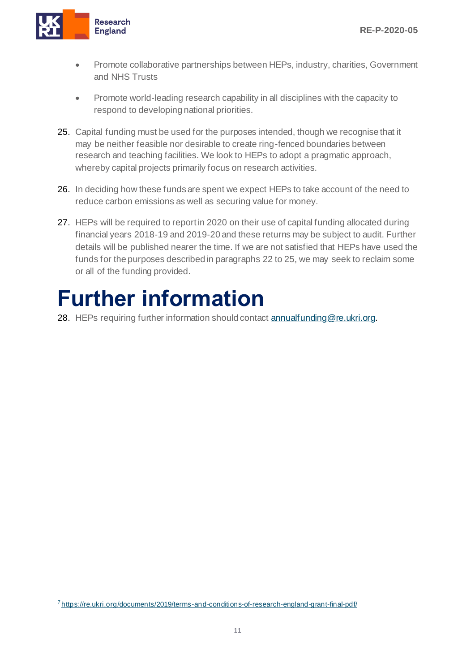

- Promote collaborative partnerships between HEPs, industry, charities, Government and NHS Trusts
- Promote world-leading research capability in all disciplines with the capacity to respond to developing national priorities.
- 25. Capital funding must be used for the purposes intended, though we recognise that it may be neither feasible nor desirable to create ring-fenced boundaries between research and teaching facilities. We look to HEPs to adopt a pragmatic approach, whereby capital projects primarily focus on research activities.
- 26. In deciding how these funds are spent we expect HEPs to take account of the need to reduce carbon emissions as well as securing value for money.
- 27. HEPs will be required to report in 2020 on their use of capital funding allocated during financial years 2018-19 and 2019-20 and these returns may be subject to audit. Further details will be published nearer the time. If we are not satisfied that HEPs have used the funds for the purposes described in paragraphs 22 to 25, we may seek to reclaim some or all of the funding provided.

#### <span id="page-10-0"></span>**Further information**

28. HEPs requiring further information should contac[t annualfunding@re.ukri.org](mailto:annualfunding@re.ukri.org).

<sup>7</sup><https://re.ukri.org/documents/2019/terms-and-conditions-of-research-england-grant-final-pdf/>